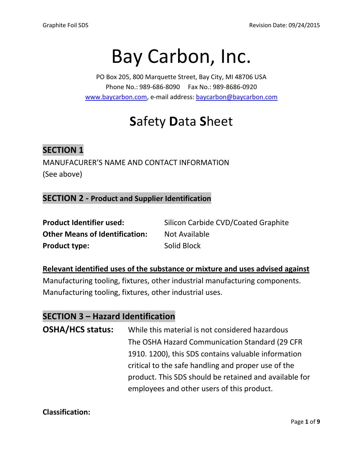# Bay Carbon, Inc.

PO Box 205, 800 Marquette Street, Bay City, MI 48706 USA Phone No.: 989-686-8090 Fax No.: 989-8686-0920 [www.baycarbon.com,](http://www.baycarbon.com/) e-mail address[: baycarbon@baycarbon.com](mailto:baycarbon@baycarbon.com)

## **S**afety **D**ata **S**heet

## **SECTION 1**

MANUFACURER'S NAME AND CONTACT INFORMATION (See above)

#### **SECTION 2 - Product and Supplier Identification**

| <b>Product Identifier used:</b>       | Silicon Carbide CVD/Coated Graphite |
|---------------------------------------|-------------------------------------|
| <b>Other Means of Identification:</b> | Not Available                       |
| <b>Product type:</b>                  | Solid Block                         |

**Relevant identified uses of the substance or mixture and uses advised against** Manufacturing tooling, fixtures, other industrial manufacturing components. Manufacturing tooling, fixtures, other industrial uses.

## **SECTION 3 – Hazard Identification**

**OSHA/HCS status:** While this material is not considered hazardous The OSHA Hazard Communication Standard (29 CFR 1910. 1200), this SDS contains valuable information critical to the safe handling and proper use of the product. This SDS should be retained and available for employees and other users of this product.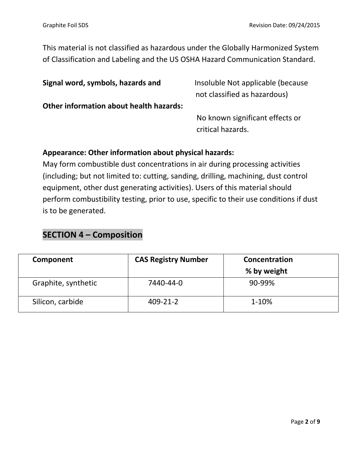This material is not classified as hazardous under the Globally Harmonized System of Classification and Labeling and the US OSHA Hazard Communication Standard.

| Signal word, symbols, hazards and              | Insoluble Not applicable (because |
|------------------------------------------------|-----------------------------------|
|                                                | not classified as hazardous)      |
| <b>Other information about health hazards:</b> |                                   |
|                                                | No known significant effects or   |
|                                                | critical hazards.                 |

#### **Appearance: Other information about physical hazards:**

May form combustible dust concentrations in air during processing activities (including; but not limited to: cutting, sanding, drilling, machining, dust control equipment, other dust generating activities). Users of this material should perform combustibility testing, prior to use, specific to their use conditions if dust is to be generated.

#### **SECTION 4 – Composition**

| Component           | <b>CAS Registry Number</b> | Concentration<br>% by weight |
|---------------------|----------------------------|------------------------------|
| Graphite, synthetic | 7440-44-0                  | 90-99%                       |
| Silicon, carbide    | $409 - 21 - 2$             | $1 - 10%$                    |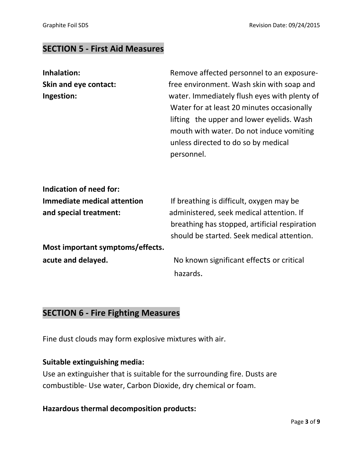## **SECTION 5 - First Aid Measures**

| Inhalation:                      | Remove affected personnel to an exposure-                                                                                                                                                                                                |
|----------------------------------|------------------------------------------------------------------------------------------------------------------------------------------------------------------------------------------------------------------------------------------|
| Skin and eye contact:            | free environment. Wash skin with soap and                                                                                                                                                                                                |
| Ingestion:                       | water. Immediately flush eyes with plenty of<br>Water for at least 20 minutes occasionally<br>lifting the upper and lower eyelids. Wash<br>mouth with water. Do not induce vomiting<br>unless directed to do so by medical<br>personnel. |
| Indication of need for:          |                                                                                                                                                                                                                                          |
| Immediate medical attention      | If breathing is difficult, oxygen may be                                                                                                                                                                                                 |
| and special treatment:           | administered, seek medical attention. If                                                                                                                                                                                                 |
|                                  | breathing has stopped, artificial respiration                                                                                                                                                                                            |
|                                  | should be started. Seek medical attention.                                                                                                                                                                                               |
| Most important symptoms/effects. |                                                                                                                                                                                                                                          |
| acute and delayed.               | No known significant effects or critical                                                                                                                                                                                                 |
|                                  | hazards.                                                                                                                                                                                                                                 |

## **SECTION 6 - Fire Fighting Measures**

Fine dust clouds may form explosive mixtures with air.

#### **Suitable extinguishing media:**

Use an extinguisher that is suitable for the surrounding fire. Dusts are combustible- Use water, Carbon Dioxide, dry chemical or foam.

#### **Hazardous thermal decomposition products:**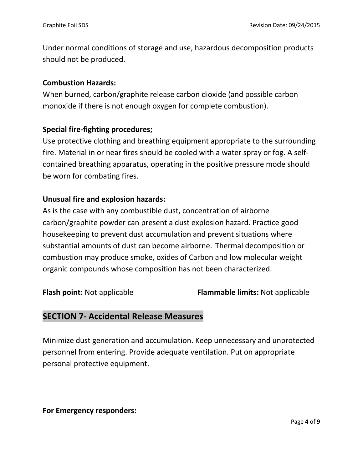Under normal conditions of storage and use, hazardous decomposition products should not be produced.

#### **Combustion Hazards:**

When burned, carbon/graphite release carbon dioxide (and possible carbon monoxide if there is not enough oxygen for complete combustion).

#### **Special fire-fighting procedures;**

Use protective clothing and breathing equipment appropriate to the surrounding fire. Material in or near fires should be cooled with a water spray or fog. A selfcontained breathing apparatus, operating in the positive pressure mode should be worn for combating fires.

#### **Unusual fire and explosion hazards:**

As is the case with any combustible dust, concentration of airborne carbon/graphite powder can present a dust explosion hazard. Practice good housekeeping to prevent dust accumulation and prevent situations where substantial amounts of dust can become airborne. Thermal decomposition or combustion may produce smoke, oxides of Carbon and low molecular weight organic compounds whose composition has not been characterized.

**Flash point:** Not applicable **Flammable limits:** Not applicable

## **SECTION 7- Accidental Release Measures**

Minimize dust generation and accumulation. Keep unnecessary and unprotected personnel from entering. Provide adequate ventilation. Put on appropriate personal protective equipment.

**For Emergency responders:**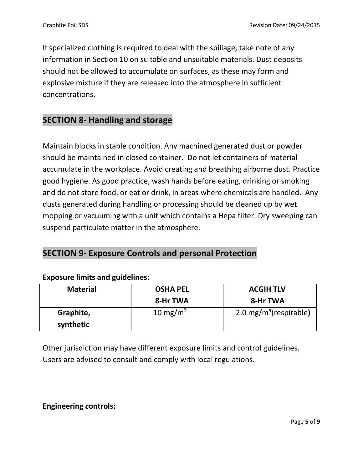If specialized clothing is required to deal with the spillage, take note of any information in Section 10 on suitable and unsuitable materials. Dust deposits should not be allowed to accumulate on surfaces, as these may form and explosive mixture if they are released into the atmosphere in sufficient concentrations.

## **SECTION 8- Handling and storage**

Maintain blocks in stable condition. Any machined generated dust or powder should be maintained in closed container. Do not let containers of material accumulate in the workplace. Avoid creating and breathing airborne dust. Practice good hygiene. As good practice, wash hands before eating, drinking or smoking and do not store food, or eat or drink, in areas where chemicals are handled. Any dusts generated during handling or processing should be cleaned up by wet mopping or vacuuming with a unit which contains a Hepa filter. Dry sweeping can suspend particulate matter in the atmosphere.

## **SECTION 9- Exposure Controls and personal Protection**

| <b>Material</b> | <b>OSHA PEL</b>      | <b>ACGIH TLV</b>                     |
|-----------------|----------------------|--------------------------------------|
|                 | 8-Hr TWA             | 8-Hr TWA                             |
| Graphite,       | 10 mg/m <sup>3</sup> | $2.0 \,\mathrm{mg/m^3}$ (respirable) |
| synthetic       |                      |                                      |

#### **Exposure limits and guidelines:**

Other jurisdiction may have different exposure limits and control guidelines. Users are advised to consult and comply with local regulations.

**Engineering controls:**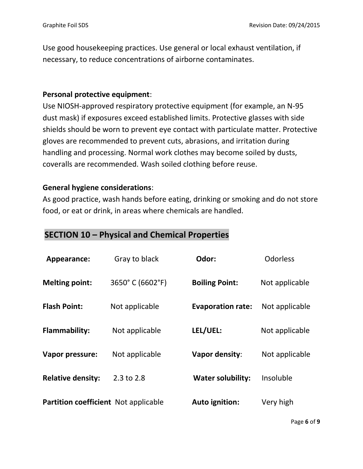Use good housekeeping practices. Use general or local exhaust ventilation, if necessary, to reduce concentrations of airborne contaminates.

#### **Personal protective equipment**:

Use NIOSH-approved respiratory protective equipment (for example, an N-95 dust mask) if exposures exceed established limits. Protective glasses with side shields should be worn to prevent eye contact with particulate matter. Protective gloves are recommended to prevent cuts, abrasions, and irritation during handling and processing. Normal work clothes may become soiled by dusts, coveralls are recommended. Wash soiled clothing before reuse.

#### **General hygiene considerations**:

As good practice, wash hands before eating, drinking or smoking and do not store food, or eat or drink, in areas where chemicals are handled.

## **SECTION 10 – Physical and Chemical Properties**

| Appearance:                                 | Gray to black   | Odor:                    | <b>Odorless</b> |
|---------------------------------------------|-----------------|--------------------------|-----------------|
| <b>Melting point:</b>                       | 3650°C (6602°F) | <b>Boiling Point:</b>    | Not applicable  |
| <b>Flash Point:</b>                         | Not applicable  | <b>Evaporation rate:</b> | Not applicable  |
| <b>Flammability:</b>                        | Not applicable  | LEL/UEL:                 | Not applicable  |
| Vapor pressure:                             | Not applicable  | Vapor density:           | Not applicable  |
| <b>Relative density:</b>                    | 2.3 to 2.8      | <b>Water solubility:</b> | Insoluble       |
| <b>Partition coefficient</b> Not applicable |                 | <b>Auto ignition:</b>    | Very high       |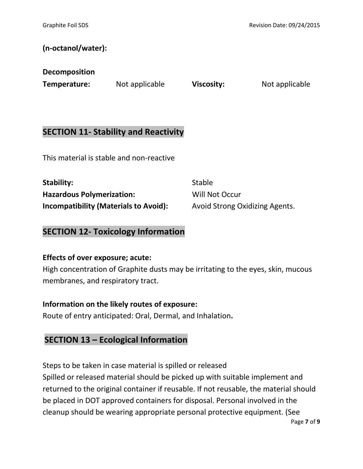#### **(n-octanol/water):**

| <b>Decomposition</b> |  |
|----------------------|--|
|----------------------|--|

**Temperature:** Not applicable **Viscosity:** Not applicable

## **SECTION 11- Stability and Reactivity**

This material is stable and non-reactive

**Stability:** Stable **Hazardous Polymerization:** Will Not Occur **Incompatibility (Materials to Avoid):** Avoid Strong Oxidizing Agents.

## **SECTION 12- Toxicology Information**

#### **Effects of over exposure; acute:**

High concentration of Graphite dusts may be irritating to the eyes, skin, mucous membranes, and respiratory tract.

#### **Information on the likely routes of exposure:**

Route of entry anticipated: Oral, Dermal, and Inhalation**.**

## **SECTION 13 – Ecological Information**

Steps to be taken in case material is spilled or released

Spilled or released material should be picked up with suitable implement and returned to the original container if reusable. If not reusable, the material should be placed in DOT approved containers for disposal. Personal involved in the cleanup should be wearing appropriate personal protective equipment. (See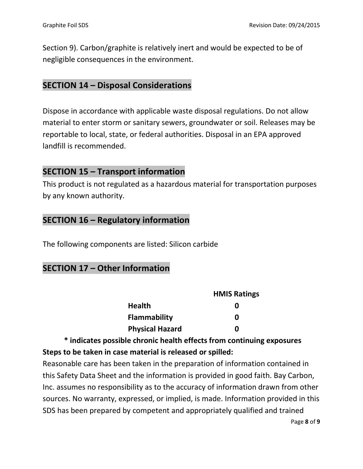Section 9). Carbon/graphite is relatively inert and would be expected to be of negligible consequences in the environment.

## **SECTION 14 – Disposal Considerations**

Dispose in accordance with applicable waste disposal regulations. Do not allow material to enter storm or sanitary sewers, groundwater or soil. Releases may be reportable to local, state, or federal authorities. Disposal in an EPA approved landfill is recommended.

## **SECTION 15 – Transport information**

This product is not regulated as a hazardous material for transportation purposes by any known authority.

## **SECTION 16 – Regulatory information**

The following components are listed: Silicon carbide

## **SECTION 17 – Other Information**

|                        | <b>HMIS Ratings</b> |
|------------------------|---------------------|
| <b>Health</b>          | o                   |
| <b>Flammability</b>    | O                   |
| <b>Physical Hazard</b> | n                   |

## **\* indicates possible chronic health effects from continuing exposures Steps to be taken in case material is released or spilled:**

Reasonable care has been taken in the preparation of information contained in this Safety Data Sheet and the information is provided in good faith. Bay Carbon, Inc. assumes no responsibility as to the accuracy of information drawn from other sources. No warranty, expressed, or implied, is made. Information provided in this SDS has been prepared by competent and appropriately qualified and trained